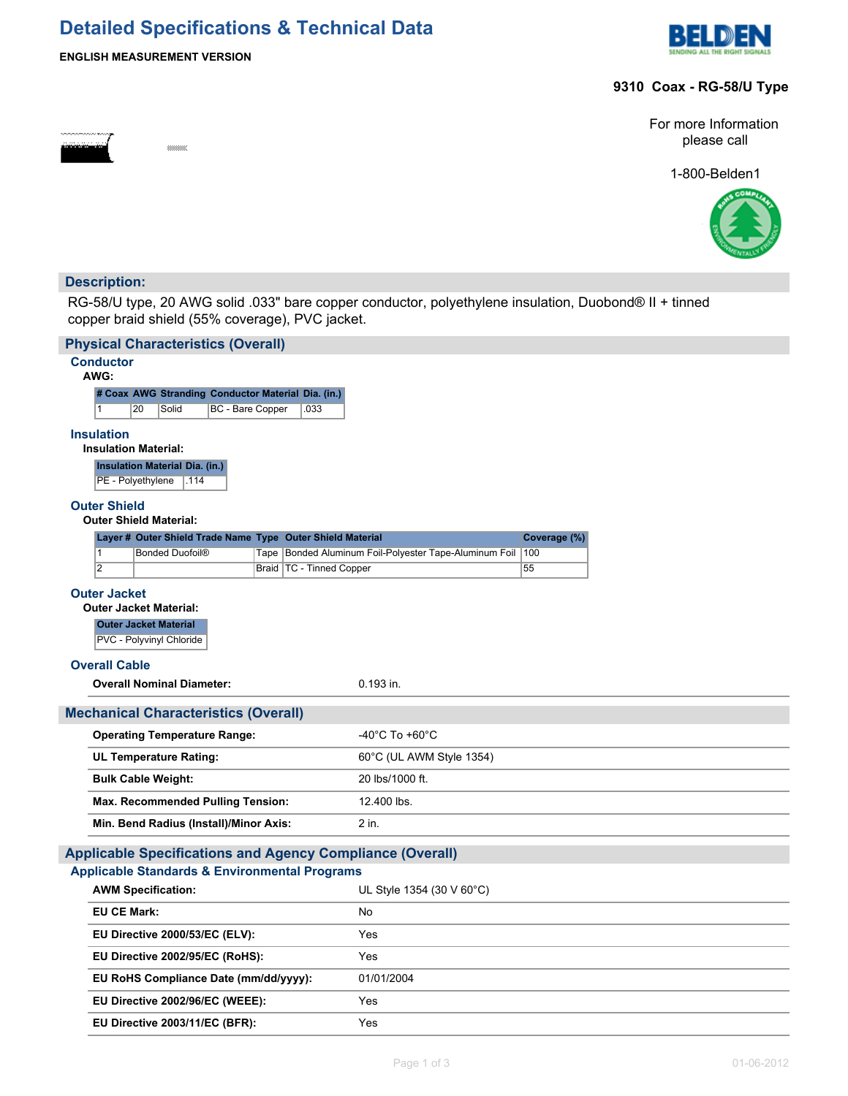# **Detailed Specifications & Technical Data**



#### **ENGLISH MEASUREMENT VERSION**

suunna:

#### **9310 Coax - RG-58/U Type**

For more Information please call

1-800-Belden1



### **Description:**

RG-58/U type, 20 AWG solid .033" bare copper conductor, polyethylene insulation, Duobond® II + tinned copper braid shield (55% coverage), PVC jacket.

| <b>Physical Characteristics (Overall)</b>                          |                                                        |              |  |
|--------------------------------------------------------------------|--------------------------------------------------------|--------------|--|
| <b>Conductor</b><br>AWG:                                           |                                                        |              |  |
| # Coax AWG Stranding Conductor Material Dia. (in.)                 |                                                        |              |  |
| $\mathbf{1}$<br>20<br>Solid<br>BC - Bare Copper<br>.033            |                                                        |              |  |
| <b>Insulation</b><br><b>Insulation Material:</b>                   |                                                        |              |  |
| <b>Insulation Material Dia. (in.)</b><br>PE - Polyethylene<br>.114 |                                                        |              |  |
| <b>Outer Shield</b><br><b>Outer Shield Material:</b>               |                                                        |              |  |
| Layer # Outer Shield Trade Name Type Outer Shield Material         |                                                        | Coverage (%) |  |
| $\overline{1}$<br><b>Bonded Duofoil®</b>                           | Tape Bonded Aluminum Foil-Polyester Tape-Aluminum Foil | 100          |  |
| $\overline{2}$<br>Braid   TC - Tinned Copper                       |                                                        | 55           |  |
| <b>Outer Jacket</b>                                                |                                                        |              |  |
| <b>Outer Jacket Material:</b><br><b>Outer Jacket Material</b>      |                                                        |              |  |
| PVC - Polyvinyl Chloride                                           |                                                        |              |  |
| <b>Overall Cable</b>                                               |                                                        |              |  |
| <b>Overall Nominal Diameter:</b>                                   | $0.193$ in.                                            |              |  |
|                                                                    |                                                        |              |  |
| <b>Mechanical Characteristics (Overall)</b>                        |                                                        |              |  |
| <b>Operating Temperature Range:</b>                                | -40°C To +60°C                                         |              |  |
| <b>UL Temperature Rating:</b>                                      | 60°C (UL AWM Style 1354)                               |              |  |
| <b>Bulk Cable Weight:</b>                                          | 20 lbs/1000 ft.                                        |              |  |
| <b>Max. Recommended Pulling Tension:</b>                           | 12.400 lbs.                                            |              |  |
| Min. Bend Radius (Install)/Minor Axis:                             | 2 in.                                                  |              |  |
| <b>Applicable Specifications and Agency Compliance (Overall)</b>   |                                                        |              |  |
| <b>Applicable Standards &amp; Environmental Programs</b>           |                                                        |              |  |
| <b>AWM Specification:</b>                                          | UL Style 1354 (30 V 60°C)                              |              |  |
| <b>EU CE Mark:</b>                                                 | No                                                     |              |  |
| EU Directive 2000/53/EC (ELV):                                     | Yes                                                    |              |  |
| EU Directive 2002/95/EC (RoHS):                                    | Yes                                                    |              |  |
| EU RoHS Compliance Date (mm/dd/yyyy):                              | 01/01/2004                                             |              |  |
| EU Directive 2002/96/EC (WEEE):                                    | Yes                                                    |              |  |
| EU Directive 2003/11/EC (BFR):                                     | Yes                                                    |              |  |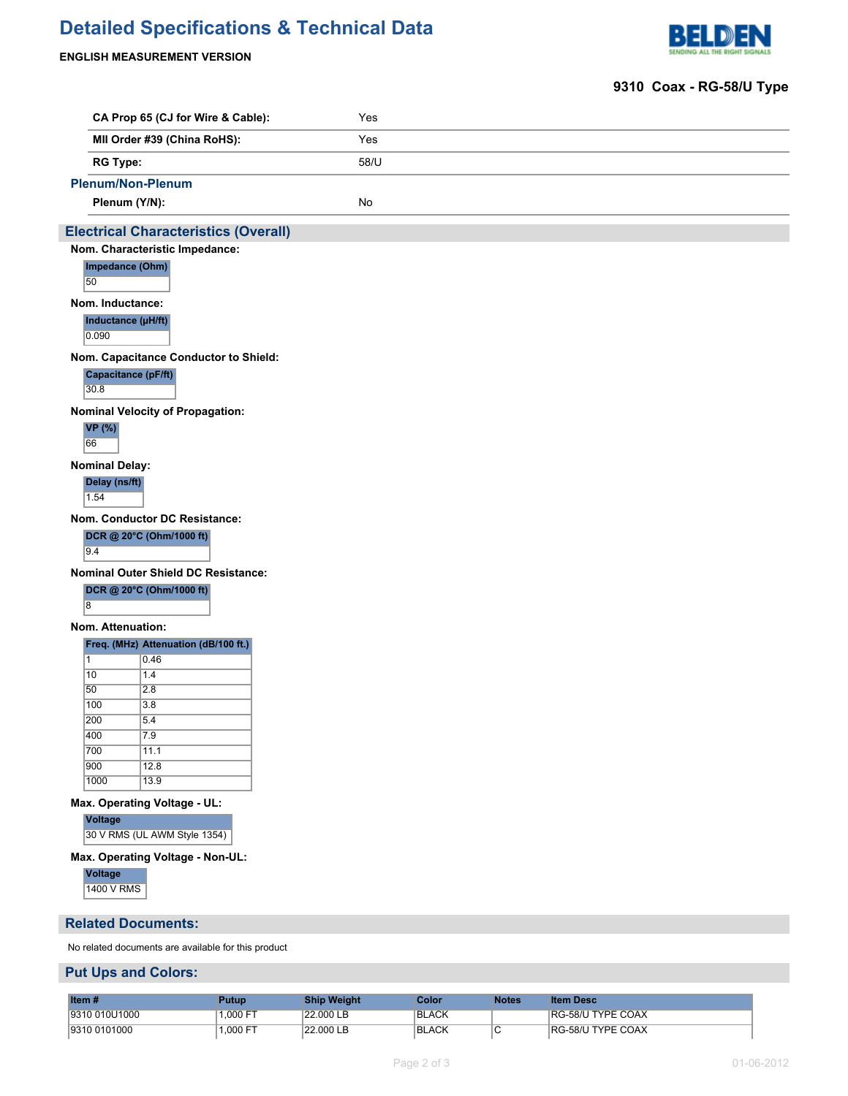# **Detailed Specifications & Technical Data**



#### **ENGLISH MEASUREMENT VERSION**

### **9310 Coax - RG-58/U Type**

|                       | CA Prop 65 (CJ for Wire & Cable):                   | Yes  |  |
|-----------------------|-----------------------------------------------------|------|--|
|                       | MII Order #39 (China RoHS):                         | Yes  |  |
| <b>RG Type:</b>       |                                                     | 58/U |  |
|                       | <b>Plenum/Non-Plenum</b>                            |      |  |
|                       | Plenum (Y/N):                                       | No   |  |
|                       | <b>Electrical Characteristics (Overall)</b>         |      |  |
|                       | Nom. Characteristic Impedance:                      |      |  |
| 50                    | Impedance (Ohm)                                     |      |  |
| Nom. Inductance:      |                                                     |      |  |
| 0.090                 | Inductance (µH/ft)                                  |      |  |
|                       | Nom. Capacitance Conductor to Shield:               |      |  |
| 30.8                  | Capacitance (pF/ft)                                 |      |  |
|                       | <b>Nominal Velocity of Propagation:</b>             |      |  |
| <b>VP</b> (%)<br>66   |                                                     |      |  |
| <b>Nominal Delay:</b> |                                                     |      |  |
| Delay (ns/ft)<br>1.54 |                                                     |      |  |
|                       | Nom. Conductor DC Resistance:                       |      |  |
|                       | DCR @ 20°C (Ohm/1000 ft)                            |      |  |
| 9.4                   |                                                     |      |  |
|                       | Nominal Outer Shield DC Resistance:                 |      |  |
|                       | DCR @ 20°C (Ohm/1000 ft)                            |      |  |
| $\overline{8}$        |                                                     |      |  |
| Nom. Attenuation:     |                                                     |      |  |
|                       | Freq. (MHz) Attenuation (dB/100 ft.)                |      |  |
| $\vert$ 1             | 0.46                                                |      |  |
| 10                    | 1.4                                                 |      |  |
| 50                    | $\overline{2.8}$                                    |      |  |
| 100                   | 3.8                                                 |      |  |
| 200                   | 5.4                                                 |      |  |
| 400                   | 7.9                                                 |      |  |
| 700                   | 11.1                                                |      |  |
| 900<br>1000           | 12.8<br>13.9                                        |      |  |
|                       |                                                     |      |  |
|                       | Max. Operating Voltage - UL:                        |      |  |
| Voltage               | 30 V RMS (UL AWM Style 1354)                        |      |  |
|                       | Max. Operating Voltage - Non-UL:                    |      |  |
| <b>Voltage</b>        |                                                     |      |  |
| 1400 V RMS            |                                                     |      |  |
|                       | <b>Related Documents:</b>                           |      |  |
|                       | No related documents are available for this product |      |  |
|                       | <b>Put Ups and Colors:</b>                          |      |  |

| Item #         | Putup    | <b>Ship Weight</b> | Color | Notes | <b>Item Desc</b>         |
|----------------|----------|--------------------|-------|-------|--------------------------|
| 19310 010U1000 | .000 FT  | 22.000 LB          | BLACK |       | <b>RG-58/U TYPE COAX</b> |
| 19310 0101000  | 1,000 FT | 22.000 LB          | BLACK |       | <b>RG-58/U TYPE COAX</b> |